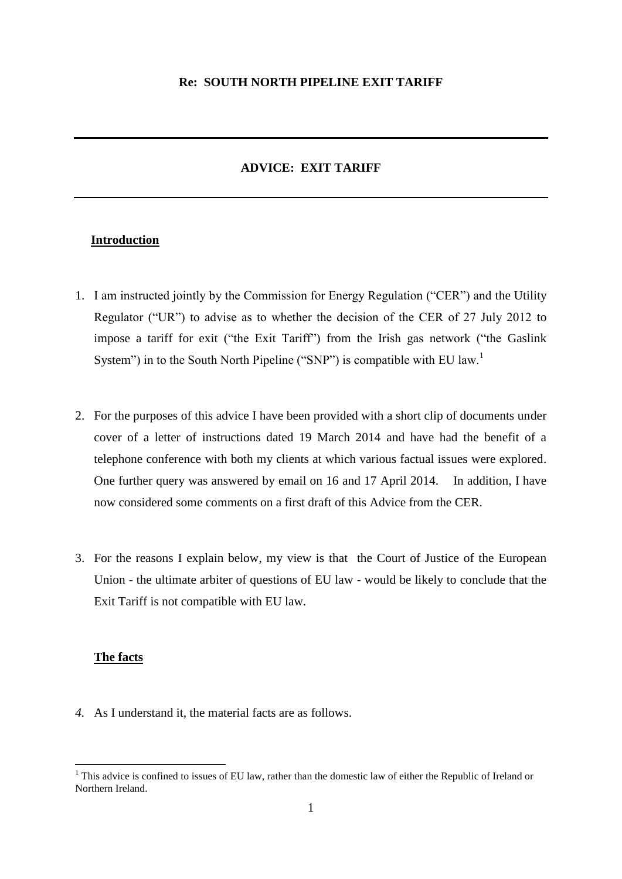# **ADVICE: EXIT TARIFF**

## **Introduction**

- 1. I am instructed jointly by the Commission for Energy Regulation ("CER") and the Utility Regulator ("UR") to advise as to whether the decision of the CER of 27 July 2012 to impose a tariff for exit ("the Exit Tariff") from the Irish gas network ("the Gaslink System") in to the South North Pipeline ("SNP") is compatible with EU law.<sup>1</sup>
- 2. For the purposes of this advice I have been provided with a short clip of documents under cover of a letter of instructions dated 19 March 2014 and have had the benefit of a telephone conference with both my clients at which various factual issues were explored. One further query was answered by email on 16 and 17 April 2014. In addition, I have now considered some comments on a first draft of this Advice from the CER.
- 3. For the reasons I explain below, my view is that the Court of Justice of the European Union - the ultimate arbiter of questions of EU law - would be likely to conclude that the Exit Tariff is not compatible with EU law.

### **The facts**

1

*4.* As I understand it, the material facts are as follows.

 $1$  This advice is confined to issues of EU law, rather than the domestic law of either the Republic of Ireland or Northern Ireland.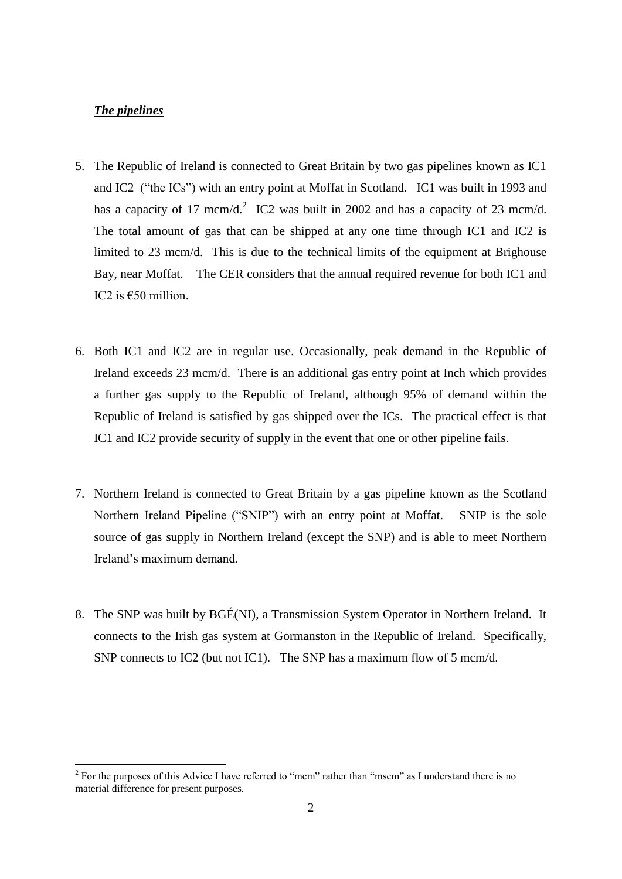## *The pipelines*

1

- 5. The Republic of Ireland is connected to Great Britain by two gas pipelines known as IC1 and IC2 ("the ICs") with an entry point at Moffat in Scotland. IC1 was built in 1993 and has a capacity of 17 mcm/d.<sup>2</sup> IC2 was built in 2002 and has a capacity of 23 mcm/d. The total amount of gas that can be shipped at any one time through IC1 and IC2 is limited to 23 mcm/d. This is due to the technical limits of the equipment at Brighouse Bay, near Moffat. The CER considers that the annual required revenue for both IC1 and IC2 is  $\epsilon$ 50 million.
- 6. Both IC1 and IC2 are in regular use. Occasionally, peak demand in the Republic of Ireland exceeds 23 mcm/d. There is an additional gas entry point at Inch which provides a further gas supply to the Republic of Ireland, although 95% of demand within the Republic of Ireland is satisfied by gas shipped over the ICs. The practical effect is that IC1 and IC2 provide security of supply in the event that one or other pipeline fails.
- 7. Northern Ireland is connected to Great Britain by a gas pipeline known as the Scotland Northern Ireland Pipeline ("SNIP") with an entry point at Moffat. SNIP is the sole source of gas supply in Northern Ireland (except the SNP) and is able to meet Northern Ireland's maximum demand.
- 8. The SNP was built by BGÉ(NI), a Transmission System Operator in Northern Ireland. It connects to the Irish gas system at Gormanston in the Republic of Ireland. Specifically, SNP connects to IC2 (but not IC1). The SNP has a maximum flow of 5 mcm/d.

 $2^2$  For the purposes of this Advice I have referred to "mcm" rather than "mscm" as I understand there is no material difference for present purposes.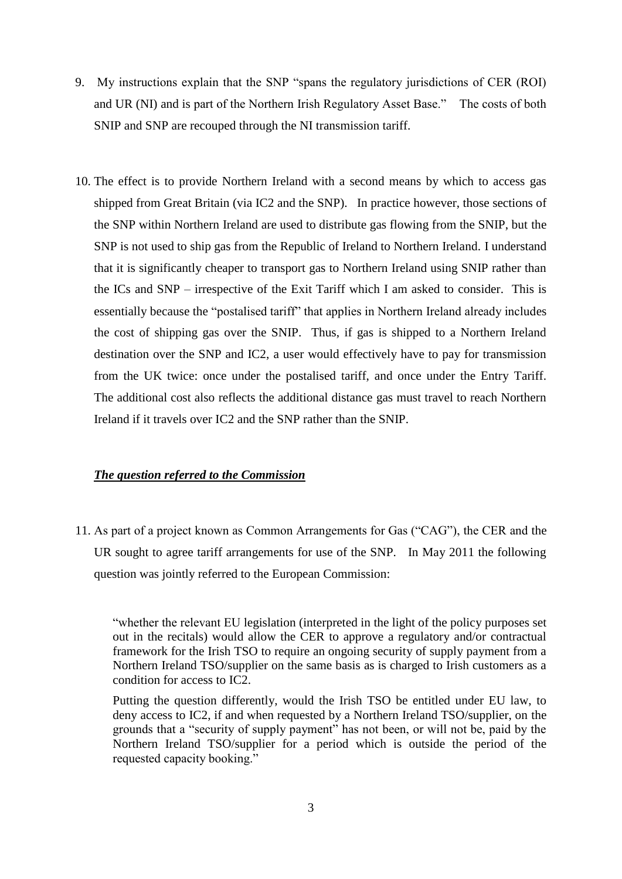- 9. My instructions explain that the SNP "spans the regulatory jurisdictions of CER (ROI) and UR (NI) and is part of the Northern Irish Regulatory Asset Base." The costs of both SNIP and SNP are recouped through the NI transmission tariff.
- 10. The effect is to provide Northern Ireland with a second means by which to access gas shipped from Great Britain (via IC2 and the SNP). In practice however, those sections of the SNP within Northern Ireland are used to distribute gas flowing from the SNIP, but the SNP is not used to ship gas from the Republic of Ireland to Northern Ireland. I understand that it is significantly cheaper to transport gas to Northern Ireland using SNIP rather than the ICs and SNP – irrespective of the Exit Tariff which I am asked to consider. This is essentially because the "postalised tariff" that applies in Northern Ireland already includes the cost of shipping gas over the SNIP. Thus, if gas is shipped to a Northern Ireland destination over the SNP and IC2, a user would effectively have to pay for transmission from the UK twice: once under the postalised tariff, and once under the Entry Tariff. The additional cost also reflects the additional distance gas must travel to reach Northern Ireland if it travels over IC2 and the SNP rather than the SNIP.

## *The question referred to the Commission*

11. As part of a project known as Common Arrangements for Gas ("CAG"), the CER and the UR sought to agree tariff arrangements for use of the SNP. In May 2011 the following question was jointly referred to the European Commission:

"whether the relevant EU legislation (interpreted in the light of the policy purposes set out in the recitals) would allow the CER to approve a regulatory and/or contractual framework for the Irish TSO to require an ongoing security of supply payment from a Northern Ireland TSO/supplier on the same basis as is charged to Irish customers as a condition for access to IC2.

Putting the question differently, would the Irish TSO be entitled under EU law, to deny access to IC2, if and when requested by a Northern Ireland TSO/supplier, on the grounds that a "security of supply payment" has not been, or will not be, paid by the Northern Ireland TSO/supplier for a period which is outside the period of the requested capacity booking."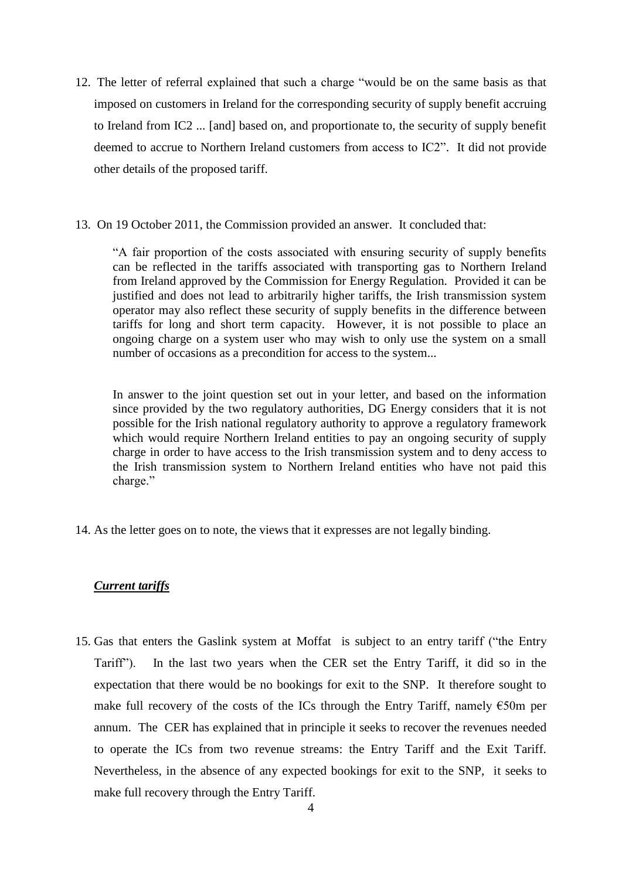- 12. The letter of referral explained that such a charge "would be on the same basis as that imposed on customers in Ireland for the corresponding security of supply benefit accruing to Ireland from IC2 ... [and] based on, and proportionate to, the security of supply benefit deemed to accrue to Northern Ireland customers from access to IC2". It did not provide other details of the proposed tariff.
- 13. On 19 October 2011, the Commission provided an answer. It concluded that:

"A fair proportion of the costs associated with ensuring security of supply benefits can be reflected in the tariffs associated with transporting gas to Northern Ireland from Ireland approved by the Commission for Energy Regulation. Provided it can be justified and does not lead to arbitrarily higher tariffs, the Irish transmission system operator may also reflect these security of supply benefits in the difference between tariffs for long and short term capacity. However, it is not possible to place an ongoing charge on a system user who may wish to only use the system on a small number of occasions as a precondition for access to the system...

In answer to the joint question set out in your letter, and based on the information since provided by the two regulatory authorities, DG Energy considers that it is not possible for the Irish national regulatory authority to approve a regulatory framework which would require Northern Ireland entities to pay an ongoing security of supply charge in order to have access to the Irish transmission system and to deny access to the Irish transmission system to Northern Ireland entities who have not paid this charge."

14. As the letter goes on to note, the views that it expresses are not legally binding.

## *Current tariffs*

15. Gas that enters the Gaslink system at Moffat is subject to an entry tariff ("the Entry Tariff"). In the last two years when the CER set the Entry Tariff, it did so in the expectation that there would be no bookings for exit to the SNP. It therefore sought to make full recovery of the costs of the ICs through the Entry Tariff, namely  $\epsilon$ 50m per annum. The CER has explained that in principle it seeks to recover the revenues needed to operate the ICs from two revenue streams: the Entry Tariff and the Exit Tariff. Nevertheless, in the absence of any expected bookings for exit to the SNP, it seeks to make full recovery through the Entry Tariff.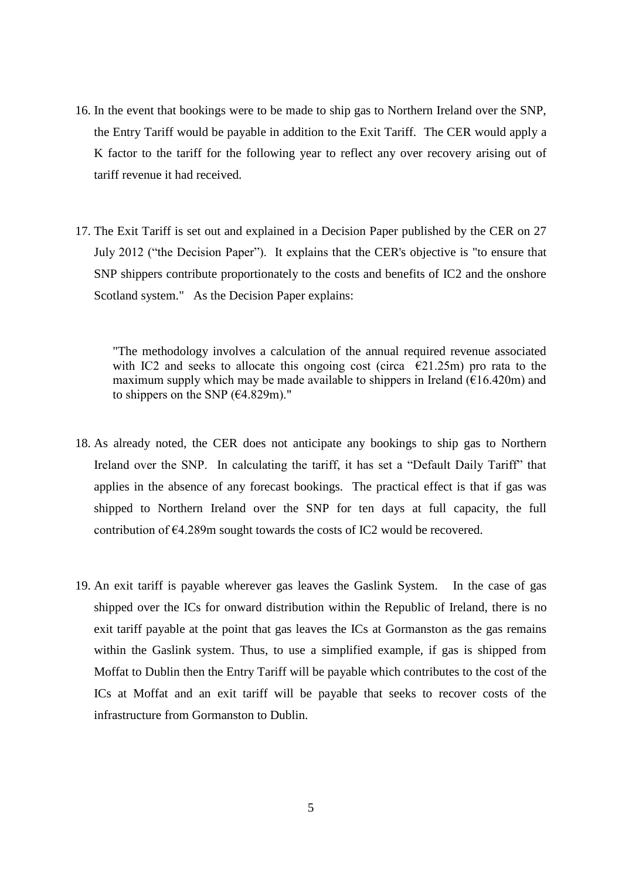- 16. In the event that bookings were to be made to ship gas to Northern Ireland over the SNP, the Entry Tariff would be payable in addition to the Exit Tariff. The CER would apply a K factor to the tariff for the following year to reflect any over recovery arising out of tariff revenue it had received.
- 17. The Exit Tariff is set out and explained in a Decision Paper published by the CER on 27 July 2012 ("the Decision Paper"). It explains that the CER's objective is "to ensure that SNP shippers contribute proportionately to the costs and benefits of IC2 and the onshore Scotland system." As the Decision Paper explains:

"The methodology involves a calculation of the annual required revenue associated with IC2 and seeks to allocate this ongoing cost (circa  $\epsilon$ 21.25m) pro rata to the maximum supply which may be made available to shippers in Ireland ( $\epsilon$ 16.420m) and to shippers on the SNP  $(64.829m)$ ."

- 18. As already noted, the CER does not anticipate any bookings to ship gas to Northern Ireland over the SNP. In calculating the tariff, it has set a "Default Daily Tariff" that applies in the absence of any forecast bookings. The practical effect is that if gas was shipped to Northern Ireland over the SNP for ten days at full capacity, the full contribution of €4.289m sought towards the costs of IC2 would be recovered.
- 19. An exit tariff is payable wherever gas leaves the Gaslink System. In the case of gas shipped over the ICs for onward distribution within the Republic of Ireland, there is no exit tariff payable at the point that gas leaves the ICs at Gormanston as the gas remains within the Gaslink system. Thus, to use a simplified example, if gas is shipped from Moffat to Dublin then the Entry Tariff will be payable which contributes to the cost of the ICs at Moffat and an exit tariff will be payable that seeks to recover costs of the infrastructure from Gormanston to Dublin.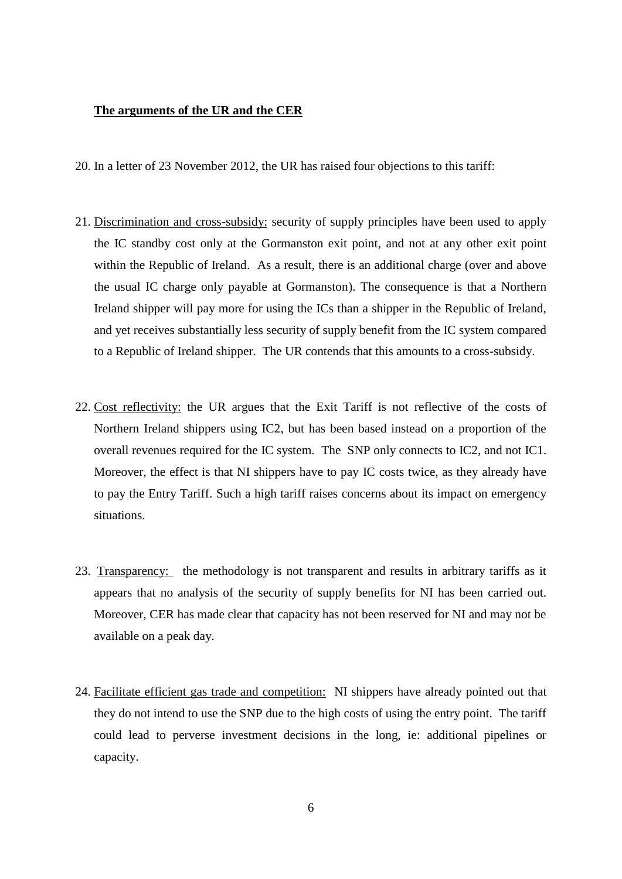#### **The arguments of the UR and the CER**

- 20. In a letter of 23 November 2012, the UR has raised four objections to this tariff:
- 21. Discrimination and cross-subsidy: security of supply principles have been used to apply the IC standby cost only at the Gormanston exit point, and not at any other exit point within the Republic of Ireland. As a result, there is an additional charge (over and above the usual IC charge only payable at Gormanston). The consequence is that a Northern Ireland shipper will pay more for using the ICs than a shipper in the Republic of Ireland, and yet receives substantially less security of supply benefit from the IC system compared to a Republic of Ireland shipper. The UR contends that this amounts to a cross-subsidy.
- 22. Cost reflectivity: the UR argues that the Exit Tariff is not reflective of the costs of Northern Ireland shippers using IC2, but has been based instead on a proportion of the overall revenues required for the IC system. The SNP only connects to IC2, and not IC1. Moreover, the effect is that NI shippers have to pay IC costs twice, as they already have to pay the Entry Tariff. Such a high tariff raises concerns about its impact on emergency situations.
- 23. Transparency: the methodology is not transparent and results in arbitrary tariffs as it appears that no analysis of the security of supply benefits for NI has been carried out. Moreover, CER has made clear that capacity has not been reserved for NI and may not be available on a peak day.
- 24. Facilitate efficient gas trade and competition: NI shippers have already pointed out that they do not intend to use the SNP due to the high costs of using the entry point. The tariff could lead to perverse investment decisions in the long, ie: additional pipelines or capacity.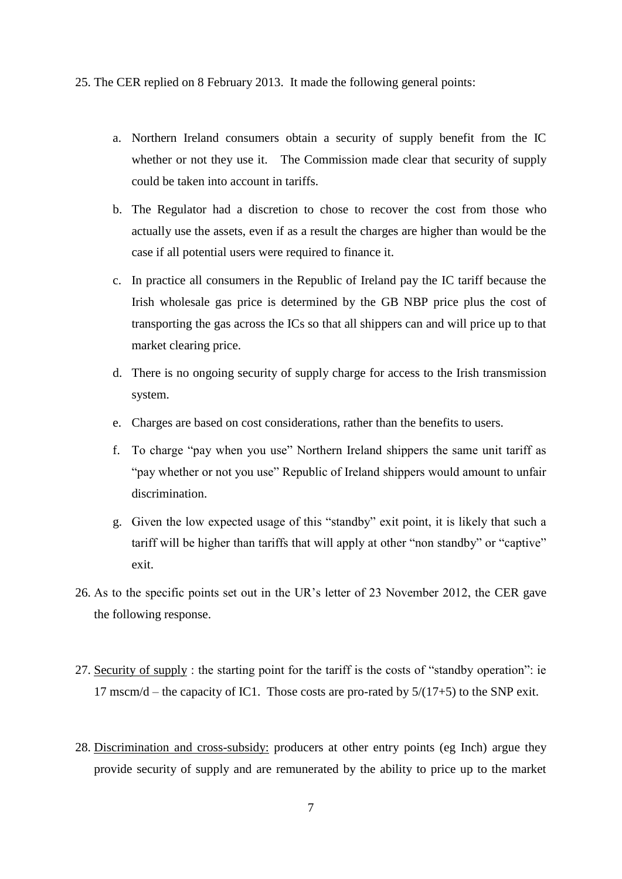25. The CER replied on 8 February 2013. It made the following general points:

- a. Northern Ireland consumers obtain a security of supply benefit from the IC whether or not they use it. The Commission made clear that security of supply could be taken into account in tariffs.
- b. The Regulator had a discretion to chose to recover the cost from those who actually use the assets, even if as a result the charges are higher than would be the case if all potential users were required to finance it.
- c. In practice all consumers in the Republic of Ireland pay the IC tariff because the Irish wholesale gas price is determined by the GB NBP price plus the cost of transporting the gas across the ICs so that all shippers can and will price up to that market clearing price.
- d. There is no ongoing security of supply charge for access to the Irish transmission system.
- e. Charges are based on cost considerations, rather than the benefits to users.
- f. To charge "pay when you use" Northern Ireland shippers the same unit tariff as "pay whether or not you use" Republic of Ireland shippers would amount to unfair discrimination.
- g. Given the low expected usage of this "standby" exit point, it is likely that such a tariff will be higher than tariffs that will apply at other "non standby" or "captive" exit.
- 26. As to the specific points set out in the UR's letter of 23 November 2012, the CER gave the following response.
- 27. Security of supply : the starting point for the tariff is the costs of "standby operation": ie 17 mscm/d – the capacity of IC1. Those costs are pro-rated by  $5/(17+5)$  to the SNP exit.
- 28. Discrimination and cross-subsidy: producers at other entry points (eg Inch) argue they provide security of supply and are remunerated by the ability to price up to the market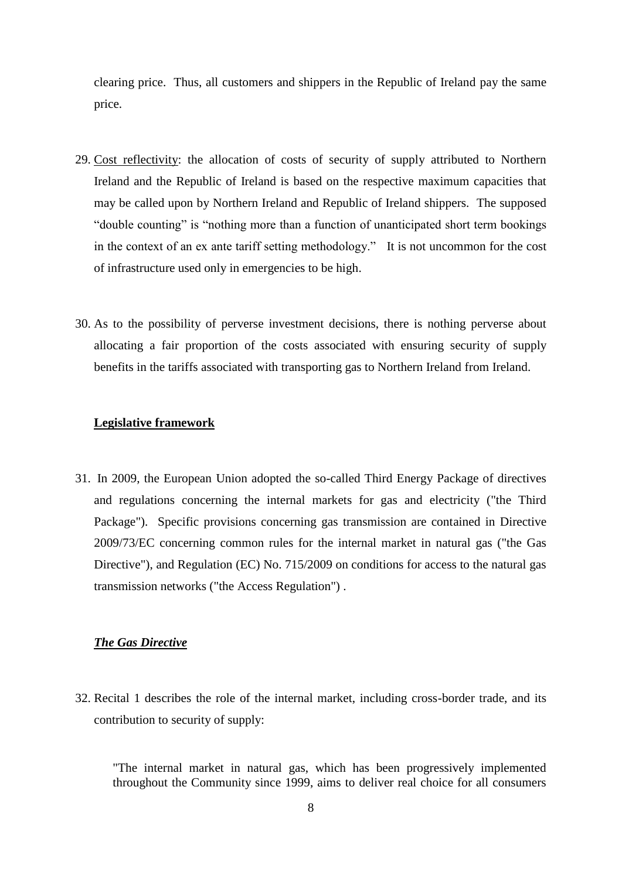clearing price. Thus, all customers and shippers in the Republic of Ireland pay the same price.

- 29. Cost reflectivity: the allocation of costs of security of supply attributed to Northern Ireland and the Republic of Ireland is based on the respective maximum capacities that may be called upon by Northern Ireland and Republic of Ireland shippers. The supposed "double counting" is "nothing more than a function of unanticipated short term bookings in the context of an ex ante tariff setting methodology." It is not uncommon for the cost of infrastructure used only in emergencies to be high.
- 30. As to the possibility of perverse investment decisions, there is nothing perverse about allocating a fair proportion of the costs associated with ensuring security of supply benefits in the tariffs associated with transporting gas to Northern Ireland from Ireland.

#### **Legislative framework**

31. In 2009, the European Union adopted the so-called Third Energy Package of directives and regulations concerning the internal markets for gas and electricity ("the Third Package"). Specific provisions concerning gas transmission are contained in Directive 2009/73/EC concerning common rules for the internal market in natural gas ("the Gas Directive"), and Regulation (EC) No. 715/2009 on conditions for access to the natural gas transmission networks ("the Access Regulation") .

## *The Gas Directive*

32. Recital 1 describes the role of the internal market, including cross-border trade, and its contribution to security of supply:

"The internal market in natural gas, which has been progressively implemented throughout the Community since 1999, aims to deliver real choice for all consumers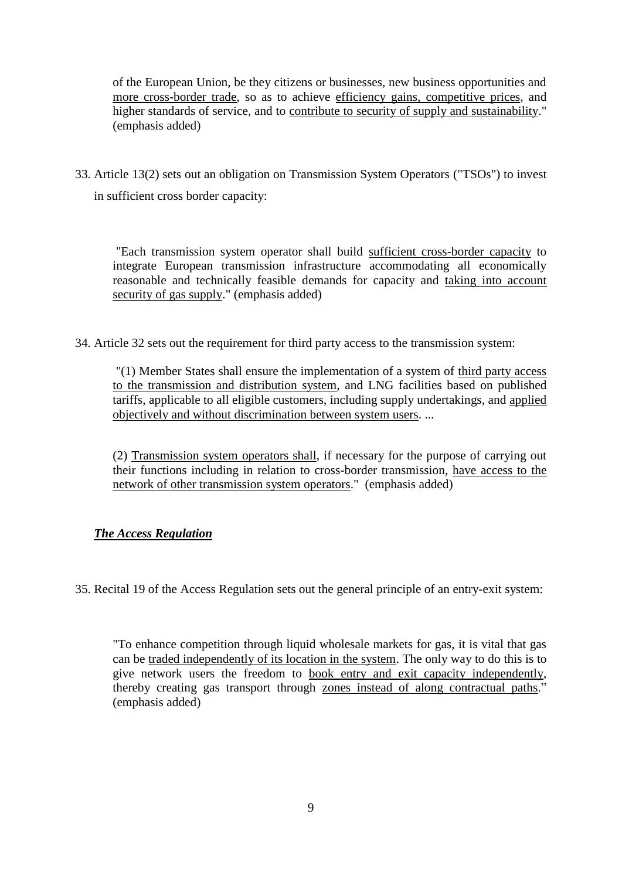of the European Union, be they citizens or businesses, new business opportunities and more cross-border trade, so as to achieve efficiency gains, competitive prices, and higher standards of service, and to contribute to security of supply and sustainability." (emphasis added)

33. Article 13(2) sets out an obligation on Transmission System Operators ("TSOs") to invest in sufficient cross border capacity:

"Each transmission system operator shall build sufficient cross-border capacity to integrate European transmission infrastructure accommodating all economically reasonable and technically feasible demands for capacity and taking into account security of gas supply." (emphasis added)

34. Article 32 sets out the requirement for third party access to the transmission system:

"(1) Member States shall ensure the implementation of a system of third party access to the transmission and distribution system, and LNG facilities based on published tariffs, applicable to all eligible customers, including supply undertakings, and applied objectively and without discrimination between system users. ...

(2) Transmission system operators shall, if necessary for the purpose of carrying out their functions including in relation to cross-border transmission, have access to the network of other transmission system operators." (emphasis added)

# *The Access Regulation*

35. Recital 19 of the Access Regulation sets out the general principle of an entry-exit system:

"To enhance competition through liquid wholesale markets for gas, it is vital that gas can be traded independently of its location in the system. The only way to do this is to give network users the freedom to book entry and exit capacity independently, thereby creating gas transport through zones instead of along contractual paths." (emphasis added)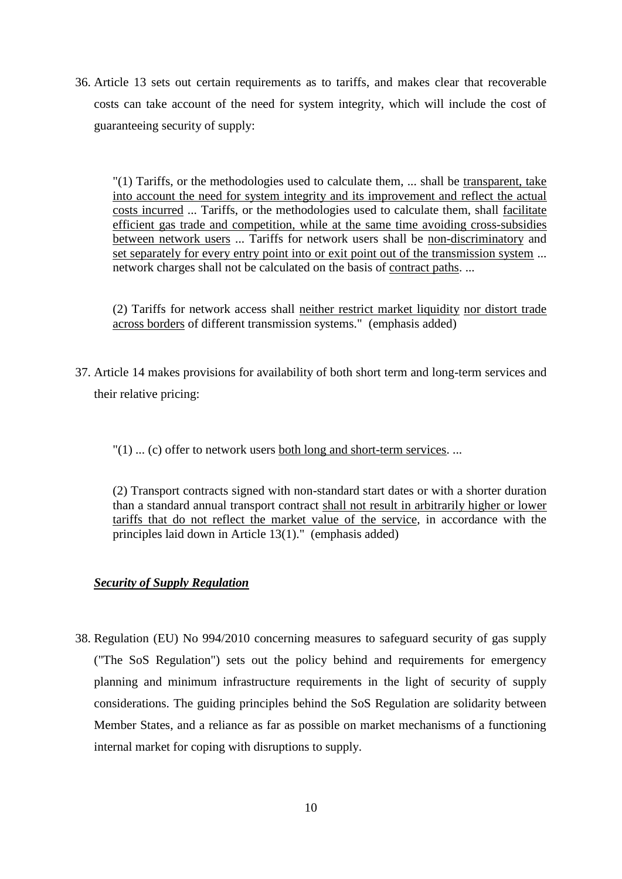36. Article 13 sets out certain requirements as to tariffs, and makes clear that recoverable costs can take account of the need for system integrity, which will include the cost of guaranteeing security of supply:

"(1) Tariffs, or the methodologies used to calculate them, ... shall be transparent, take into account the need for system integrity and its improvement and reflect the actual costs incurred ... Tariffs, or the methodologies used to calculate them, shall facilitate efficient gas trade and competition, while at the same time avoiding cross-subsidies between network users ... Tariffs for network users shall be non-discriminatory and set separately for every entry point into or exit point out of the transmission system ... network charges shall not be calculated on the basis of contract paths. ...

(2) Tariffs for network access shall neither restrict market liquidity nor distort trade across borders of different transmission systems." (emphasis added)

37. Article 14 makes provisions for availability of both short term and long-term services and their relative pricing:

 $''(1)$  ... (c) offer to network users both long and short-term services. ...

(2) Transport contracts signed with non-standard start dates or with a shorter duration than a standard annual transport contract shall not result in arbitrarily higher or lower tariffs that do not reflect the market value of the service, in accordance with the principles laid down in Article 13(1)." (emphasis added)

# *Security of Supply Regulation*

38. Regulation (EU) No 994/2010 concerning measures to safeguard security of gas supply ("The SoS Regulation") sets out the policy behind and requirements for emergency planning and minimum infrastructure requirements in the light of security of supply considerations. The guiding principles behind the SoS Regulation are solidarity between Member States, and a reliance as far as possible on market mechanisms of a functioning internal market for coping with disruptions to supply.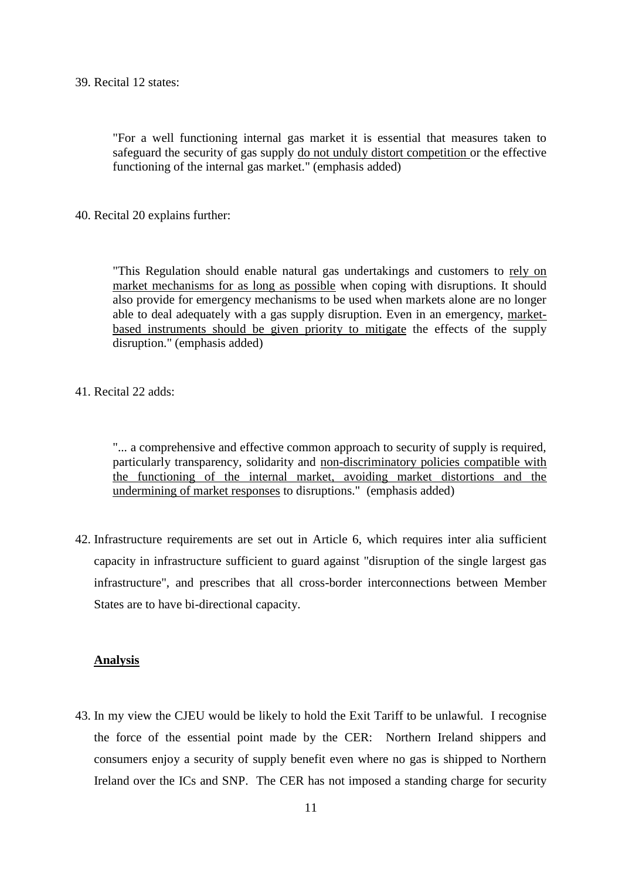39. Recital 12 states:

"For a well functioning internal gas market it is essential that measures taken to safeguard the security of gas supply do not unduly distort competition or the effective functioning of the internal gas market." (emphasis added)

40. Recital 20 explains further:

"This Regulation should enable natural gas undertakings and customers to rely on market mechanisms for as long as possible when coping with disruptions. It should also provide for emergency mechanisms to be used when markets alone are no longer able to deal adequately with a gas supply disruption. Even in an emergency, marketbased instruments should be given priority to mitigate the effects of the supply disruption." (emphasis added)

41. Recital 22 adds:

"... a comprehensive and effective common approach to security of supply is required, particularly transparency, solidarity and non-discriminatory policies compatible with the functioning of the internal market, avoiding market distortions and the undermining of market responses to disruptions." (emphasis added)

42. Infrastructure requirements are set out in Article 6, which requires inter alia sufficient capacity in infrastructure sufficient to guard against "disruption of the single largest gas infrastructure", and prescribes that all cross-border interconnections between Member States are to have bi-directional capacity.

### **Analysis**

43. In my view the CJEU would be likely to hold the Exit Tariff to be unlawful. I recognise the force of the essential point made by the CER: Northern Ireland shippers and consumers enjoy a security of supply benefit even where no gas is shipped to Northern Ireland over the ICs and SNP. The CER has not imposed a standing charge for security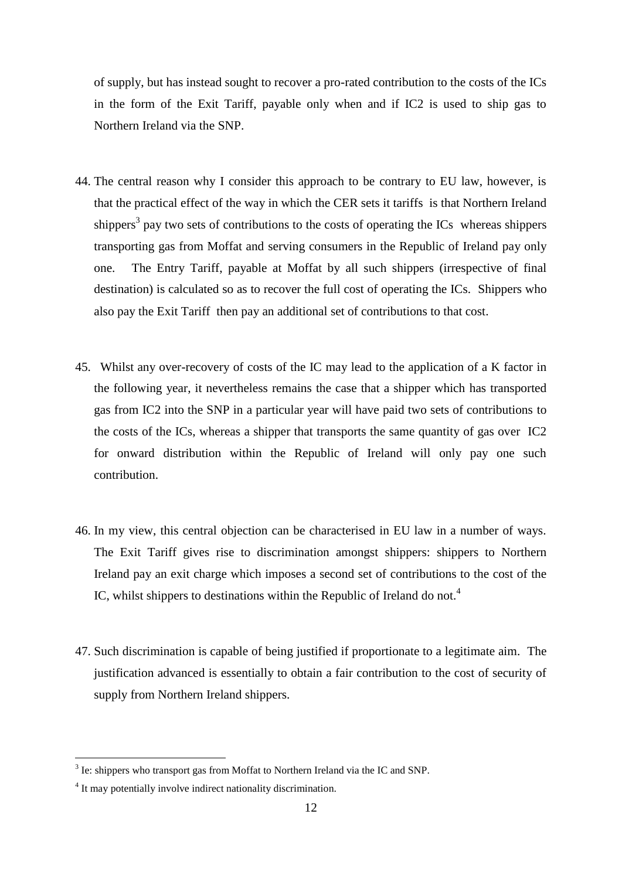of supply, but has instead sought to recover a pro-rated contribution to the costs of the ICs in the form of the Exit Tariff, payable only when and if IC2 is used to ship gas to Northern Ireland via the SNP.

- 44. The central reason why I consider this approach to be contrary to EU law, however, is that the practical effect of the way in which the CER sets it tariffs is that Northern Ireland shippers<sup>3</sup> pay two sets of contributions to the costs of operating the ICs whereas shippers transporting gas from Moffat and serving consumers in the Republic of Ireland pay only one. The Entry Tariff, payable at Moffat by all such shippers (irrespective of final destination) is calculated so as to recover the full cost of operating the ICs. Shippers who also pay the Exit Tariff then pay an additional set of contributions to that cost.
- 45. Whilst any over-recovery of costs of the IC may lead to the application of a K factor in the following year, it nevertheless remains the case that a shipper which has transported gas from IC2 into the SNP in a particular year will have paid two sets of contributions to the costs of the ICs, whereas a shipper that transports the same quantity of gas over IC2 for onward distribution within the Republic of Ireland will only pay one such contribution.
- 46. In my view, this central objection can be characterised in EU law in a number of ways. The Exit Tariff gives rise to discrimination amongst shippers: shippers to Northern Ireland pay an exit charge which imposes a second set of contributions to the cost of the IC, whilst shippers to destinations within the Republic of Ireland do not.<sup>4</sup>
- 47. Such discrimination is capable of being justified if proportionate to a legitimate aim. The justification advanced is essentially to obtain a fair contribution to the cost of security of supply from Northern Ireland shippers.

1

 $3$  Ie: shippers who transport gas from Moffat to Northern Ireland via the IC and SNP.

<sup>&</sup>lt;sup>4</sup> It may potentially involve indirect nationality discrimination.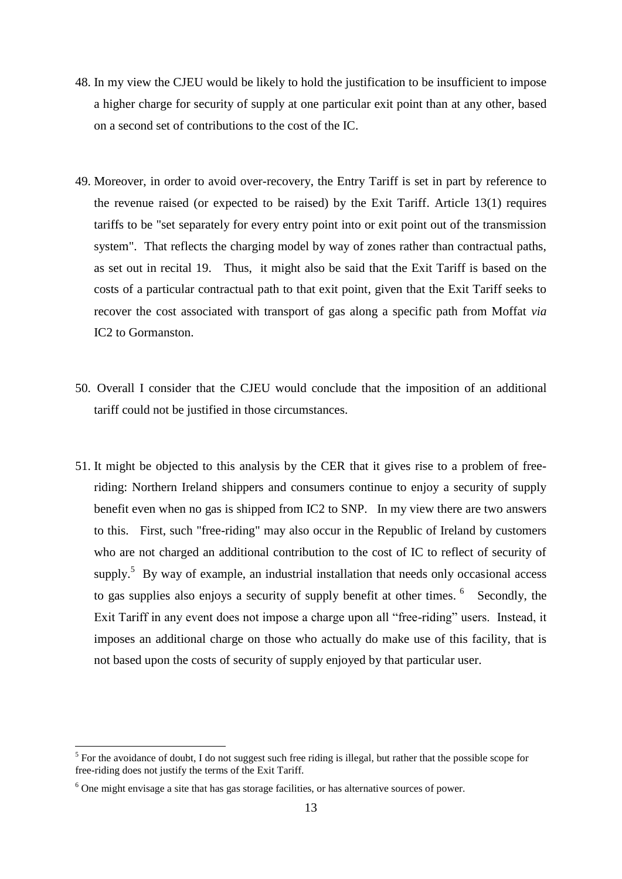- 48. In my view the CJEU would be likely to hold the justification to be insufficient to impose a higher charge for security of supply at one particular exit point than at any other, based on a second set of contributions to the cost of the IC.
- 49. Moreover, in order to avoid over-recovery, the Entry Tariff is set in part by reference to the revenue raised (or expected to be raised) by the Exit Tariff. Article 13(1) requires tariffs to be "set separately for every entry point into or exit point out of the transmission system". That reflects the charging model by way of zones rather than contractual paths, as set out in recital 19. Thus, it might also be said that the Exit Tariff is based on the costs of a particular contractual path to that exit point, given that the Exit Tariff seeks to recover the cost associated with transport of gas along a specific path from Moffat *via* IC2 to Gormanston.
- 50. Overall I consider that the CJEU would conclude that the imposition of an additional tariff could not be justified in those circumstances.
- 51. It might be objected to this analysis by the CER that it gives rise to a problem of freeriding: Northern Ireland shippers and consumers continue to enjoy a security of supply benefit even when no gas is shipped from IC2 to SNP. In my view there are two answers to this. First, such "free-riding" may also occur in the Republic of Ireland by customers who are not charged an additional contribution to the cost of IC to reflect of security of supply.<sup>5</sup> By way of example, an industrial installation that needs only occasional access to gas supplies also enjoys a security of supply benefit at other times. <sup>6</sup> Secondly, the Exit Tariff in any event does not impose a charge upon all "free-riding" users. Instead, it imposes an additional charge on those who actually do make use of this facility, that is not based upon the costs of security of supply enjoyed by that particular user.

<u>.</u>

 $<sup>5</sup>$  For the avoidance of doubt, I do not suggest such free riding is illegal, but rather that the possible scope for</sup> free-riding does not justify the terms of the Exit Tariff.

<sup>6</sup> One might envisage a site that has gas storage facilities, or has alternative sources of power.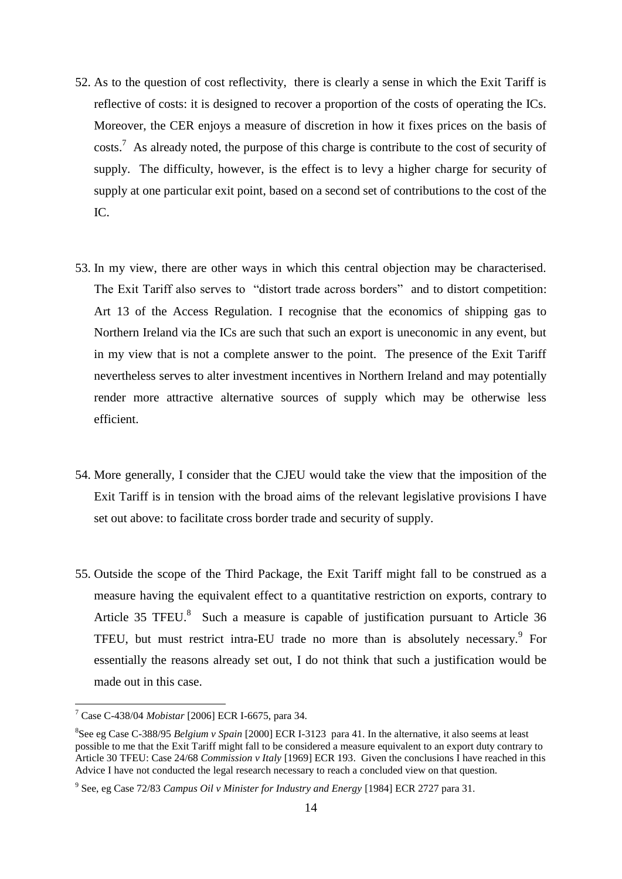- 52. As to the question of cost reflectivity, there is clearly a sense in which the Exit Tariff is reflective of costs: it is designed to recover a proportion of the costs of operating the ICs. Moreover, the CER enjoys a measure of discretion in how it fixes prices on the basis of  $\cos$ ts.<sup>7</sup> As already noted, the purpose of this charge is contribute to the cost of security of supply. The difficulty, however, is the effect is to levy a higher charge for security of supply at one particular exit point, based on a second set of contributions to the cost of the IC.
- 53. In my view, there are other ways in which this central objection may be characterised. The Exit Tariff also serves to "distort trade across borders" and to distort competition: Art 13 of the Access Regulation. I recognise that the economics of shipping gas to Northern Ireland via the ICs are such that such an export is uneconomic in any event, but in my view that is not a complete answer to the point. The presence of the Exit Tariff nevertheless serves to alter investment incentives in Northern Ireland and may potentially render more attractive alternative sources of supply which may be otherwise less efficient.
- 54. More generally, I consider that the CJEU would take the view that the imposition of the Exit Tariff is in tension with the broad aims of the relevant legislative provisions I have set out above: to facilitate cross border trade and security of supply.
- 55. Outside the scope of the Third Package, the Exit Tariff might fall to be construed as a measure having the equivalent effect to a quantitative restriction on exports, contrary to Article 35 TFEU.<sup>8</sup> Such a measure is capable of justification pursuant to Article 36 TFEU, but must restrict intra-EU trade no more than is absolutely necessary.<sup>9</sup> For essentially the reasons already set out, I do not think that such a justification would be made out in this case.

1

<sup>7</sup> Case C-438/04 *Mobistar* [2006] ECR I-6675, para 34.

<sup>8</sup> See eg Case C-388/95 *Belgium v Spain* [2000] ECR I-3123 para 41. In the alternative, it also seems at least possible to me that the Exit Tariff might fall to be considered a measure equivalent to an export duty contrary to Article 30 TFEU: Case 24/68 *Commission v Italy* [1969] ECR 193. Given the conclusions I have reached in this Advice I have not conducted the legal research necessary to reach a concluded view on that question.

<sup>9</sup> See, eg Case 72/83 *Campus Oil v Minister for Industry and Energy* [1984] ECR 2727 para 31.